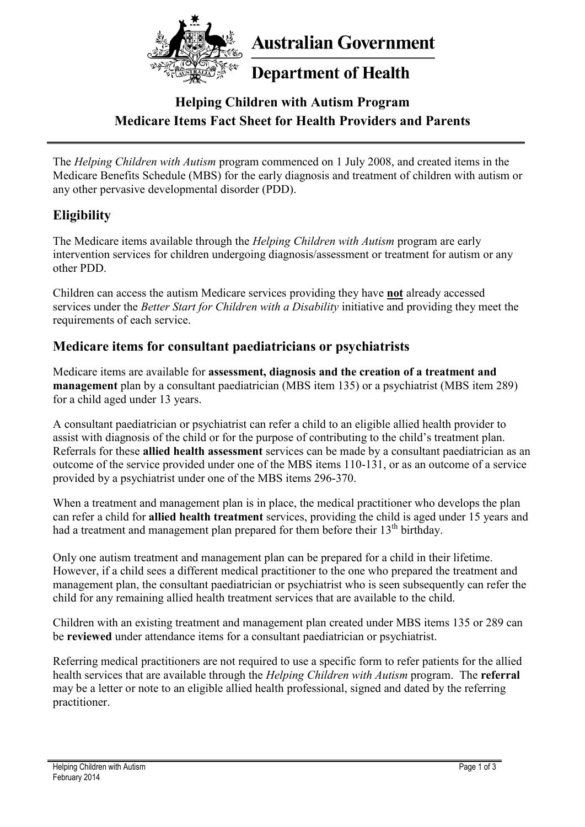

**Australian Government** 

# **Department of Health**

# **Helping Children with Autism Program Medicare Items Fact Sheet for Health Providers and Parents**

The *Helping Children with Autism* program commenced on 1 July 2008, and created items in the Medicare Benefits Schedule (MBS) for the early diagnosis and treatment of children with autism or any other pervasive developmental disorder (PDD).

### **Eligibility**

The Medicare items available through the *Helping Children with Autism* program are early intervention services for children undergoing diagnosis/assessment or treatment for autism or any other PDD.

Children can access the autism Medicare services providing they have **not** already accessed services under the *Better Start for Children with a Disability* initiative and providing they meet the requirements of each service.

#### **Medicare items for consultant paediatricians or psychiatrists**

Medicare items are available for **assessment, diagnosis and the creation of a treatment and management** plan by a consultant paediatrician (MBS item 135) or a psychiatrist (MBS item 289) for a child aged under 13 years.

A consultant paediatrician or psychiatrist can refer a child to an eligible allied health provider to assist with diagnosis of the child or for the purpose of contributing to the child's treatment plan. Referrals for these **allied health assessment** services can be made by a consultant paediatrician as an outcome of the service provided under one of the MBS items 110-131, or as an outcome of a service provided by a psychiatrist under one of the MBS items 296-370.

When a treatment and management plan is in place, the medical practitioner who develops the plan can refer a child for **allied health treatment** services, providing the child is aged under 15 years and had a treatment and management plan prepared for them before their  $13<sup>th</sup>$  birthday.

Only one autism treatment and management plan can be prepared for a child in their lifetime. However, if a child sees a different medical practitioner to the one who prepared the treatment and management plan, the consultant paediatrician or psychiatrist who is seen subsequently can refer the child for any remaining allied health treatment services that are available to the child.

Children with an existing treatment and management plan created under MBS items 135 or 289 can be **reviewed** under attendance items for a consultant paediatrician or psychiatrist.

Referring medical practitioners are not required to use a specific form to refer patients for the allied health services that are available through the *Helping Children with Autism* program. The **referral** may be a letter or note to an eligible allied health professional, signed and dated by the referring practitioner.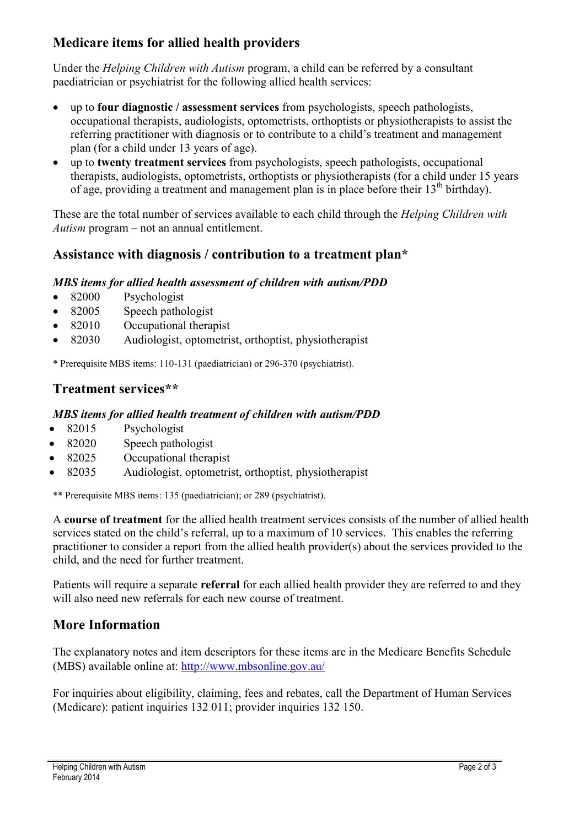## **Medicare items for allied health providers**

Under the *Helping Children with Autism* program, a child can be referred by a consultant paediatrician or psychiatrist for the following allied health services:

- up to **four diagnostic / assessment services** from psychologists, speech pathologists, occupational therapists, audiologists, optometrists, orthoptists or physiotherapists to assist the referring practitioner with diagnosis or to contribute to a child's treatment and management plan (for a child under 13 years of age).
- up to **twenty treatment services** from psychologists, speech pathologists, occupational therapists, audiologists, optometrists, orthoptists or physiotherapists (for a child under 15 years of age, providing a treatment and management plan is in place before their  $13<sup>th</sup>$  birthday).

These are the total number of services available to each child through the *Helping Children with Autism* program – not an annual entitlement.

### **Assistance with diagnosis / contribution to a treatment plan\***

#### *MBS items for allied health assessment of children with autism/PDD*

- 82000 Psychologist
- 82005 Speech pathologist
- 82010 Occupational therapist
- 82030 Audiologist, optometrist, orthoptist, physiotherapist

\* Prerequisite MBS items: 110-131 (paediatrician) or 296-370 (psychiatrist).

#### **Treatment services\*\***

#### *MBS items for allied health treatment of children with autism/PDD*

- 82015 Psychologist
- 82020 Speech pathologist
- 82025 Occupational therapist
- 82035 Audiologist, optometrist, orthoptist, physiotherapist

\*\* Prerequisite MBS items: 135 (paediatrician); or 289 (psychiatrist).

A **course of treatment** for the allied health treatment services consists of the number of allied health services stated on the child's referral, up to a maximum of 10 services. This enables the referring practitioner to consider a report from the allied health provider(s) about the services provided to the child, and the need for further treatment.

Patients will require a separate **referral** for each allied health provider they are referred to and they will also need new referrals for each new course of treatment.

### **More Information**

The explanatory notes and item descriptors for these items are in the Medicare Benefits Schedule (MBS) available online at:<http://www.mbsonline.gov.au/>

For inquiries about eligibility, claiming, fees and rebates, call the Department of Human Services (Medicare): patient inquiries 132 011; provider inquiries 132 150.